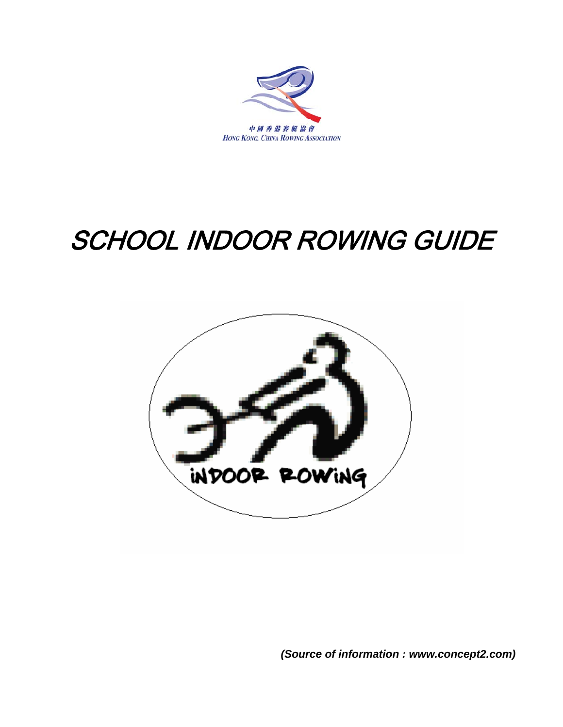

# SCHOOL INDOOR ROWING GUIDE

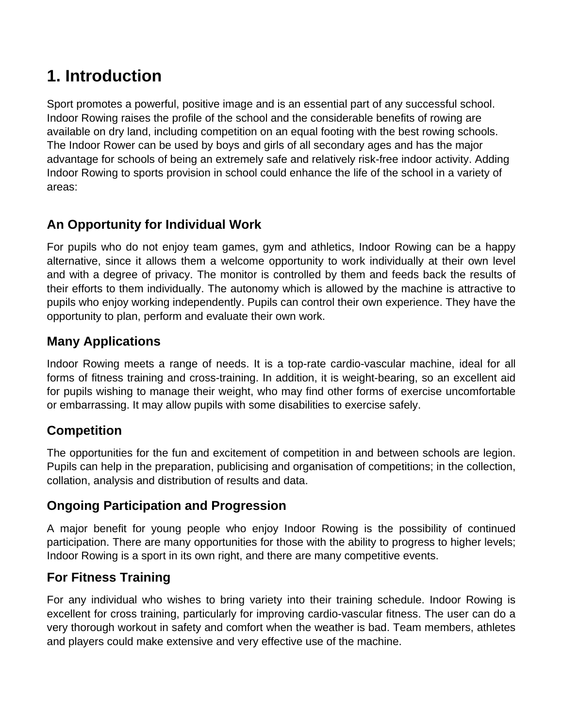# **1. Introduction**

Sport promotes a powerful, positive image and is an essential part of any successful school. Indoor Rowing raises the profile of the school and the considerable benefits of rowing are available on dry land, including competition on an equal footing with the best rowing schools. The Indoor Rower can be used by boys and girls of all secondary ages and has the major advantage for schools of being an extremely safe and relatively risk-free indoor activity. Adding Indoor Rowing to sports provision in school could enhance the life of the school in a variety of areas:

# **An Opportunity for Individual Work**

For pupils who do not enjoy team games, gym and athletics, Indoor Rowing can be a happy alternative, since it allows them a welcome opportunity to work individually at their own level and with a degree of privacy. The monitor is controlled by them and feeds back the results of their efforts to them individually. The autonomy which is allowed by the machine is attractive to pupils who enjoy working independently. Pupils can control their own experience. They have the opportunity to plan, perform and evaluate their own work.

# **Many Applications**

Indoor Rowing meets a range of needs. It is a top-rate cardio-vascular machine, ideal for all forms of fitness training and cross-training. In addition, it is weight-bearing, so an excellent aid for pupils wishing to manage their weight, who may find other forms of exercise uncomfortable or embarrassing. It may allow pupils with some disabilities to exercise safely.

# **Competition**

The opportunities for the fun and excitement of competition in and between schools are legion. Pupils can help in the preparation, publicising and organisation of competitions; in the collection, collation, analysis and distribution of results and data.

# **Ongoing Participation and Progression**

A major benefit for young people who enjoy Indoor Rowing is the possibility of continued participation. There are many opportunities for those with the ability to progress to higher levels; Indoor Rowing is a sport in its own right, and there are many competitive events.

# **For Fitness Training**

For any individual who wishes to bring variety into their training schedule. Indoor Rowing is excellent for cross training, particularly for improving cardio-vascular fitness. The user can do a very thorough workout in safety and comfort when the weather is bad. Team members, athletes and players could make extensive and very effective use of the machine.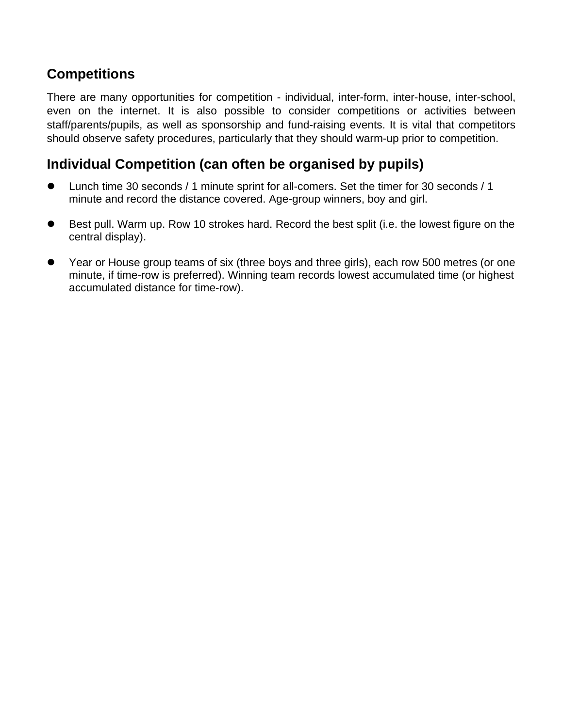# **Competitions**

There are many opportunities for competition - individual, inter-form, inter-house, inter-school, even on the internet. It is also possible to consider competitions or activities between staff/parents/pupils, as well as sponsorship and fund-raising events. It is vital that competitors should observe safety procedures, particularly that they should warm-up prior to competition.

# **Individual Competition (can often be organised by pupils)**

- Lunch time 30 seconds / 1 minute sprint for all-comers. Set the timer for 30 seconds / 1 minute and record the distance covered. Age-group winners, boy and girl.
- Best pull. Warm up. Row 10 strokes hard. Record the best split (i.e. the lowest figure on the central display).
- Year or House group teams of six (three boys and three girls), each row 500 metres (or one minute, if time-row is preferred). Winning team records lowest accumulated time (or highest accumulated distance for time-row).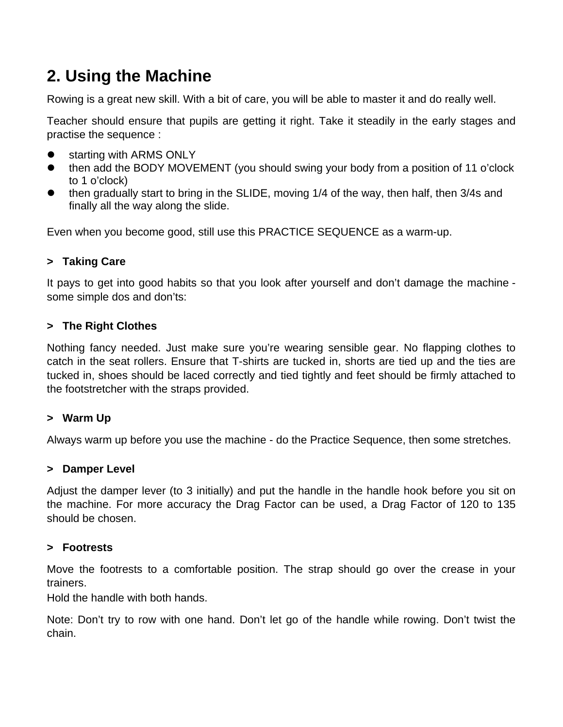# **2. Using the Machine**

Rowing is a great new skill. With a bit of care, you will be able to master it and do really well.

Teacher should ensure that pupils are getting it right. Take it steadily in the early stages and practise the sequence :

- starting with ARMS ONLY
- then add the BODY MOVEMENT (you should swing your body from a position of 11 o'clock to 1 o'clock)
- then gradually start to bring in the SLIDE, moving 1/4 of the way, then half, then 3/4s and finally all the way along the slide.

Even when you become good, still use this PRACTICE SEQUENCE as a warm-up.

### **> Taking Care**

It pays to get into good habits so that you look after yourself and don't damage the machine some simple dos and don'ts:

#### **> The Right Clothes**

Nothing fancy needed. Just make sure you're wearing sensible gear. No flapping clothes to catch in the seat rollers. Ensure that T-shirts are tucked in, shorts are tied up and the ties are tucked in, shoes should be laced correctly and tied tightly and feet should be firmly attached to the footstretcher with the straps provided.

#### **> Warm Up**

Always warm up before you use the machine - do the Practice Sequence, then some stretches.

#### **> Damper Level**

Adjust the damper lever (to 3 initially) and put the handle in the handle hook before you sit on the machine. For more accuracy the Drag Factor can be used, a Drag Factor of 120 to 135 should be chosen.

#### **> Footrests**

Move the footrests to a comfortable position. The strap should go over the crease in your trainers.

Hold the handle with both hands.

Note: Don't try to row with one hand. Don't let go of the handle while rowing. Don't twist the chain.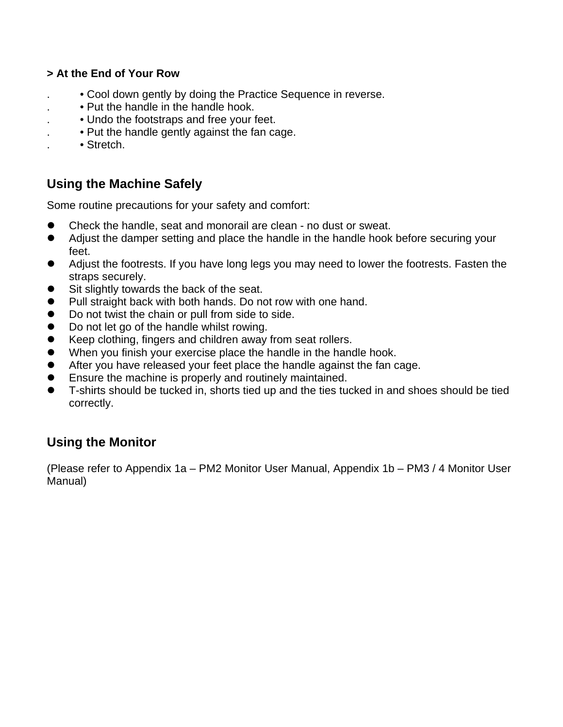#### **> At the End of Your Row**

- . Cool down gently by doing the Practice Sequence in reverse.
- . Put the handle in the handle hook.
- . Undo the footstraps and free your feet.
- . Put the handle gently against the fan cage.
- . Stretch.

# **Using the Machine Safely**

Some routine precautions for your safety and comfort:

- Check the handle, seat and monorail are clean no dust or sweat.
- Adjust the damper setting and place the handle in the handle hook before securing your feet.
- Adjust the footrests. If you have long legs you may need to lower the footrests. Fasten the straps securely.
- Sit slightly towards the back of the seat.
- Pull straight back with both hands. Do not row with one hand.
- $\bullet$  Do not twist the chain or pull from side to side.
- Do not let go of the handle whilst rowing.
- Keep clothing, fingers and children away from seat rollers.
- When you finish your exercise place the handle in the handle hook.
- $\bullet$  After you have released your feet place the handle against the fan cage.
- Ensure the machine is properly and routinely maintained.
- T-shirts should be tucked in, shorts tied up and the ties tucked in and shoes should be tied correctly.

# **Using the Monitor**

(Please refer to Appendix 1a – PM2 Monitor User Manual, Appendix 1b – PM3 / 4 Monitor User Manual)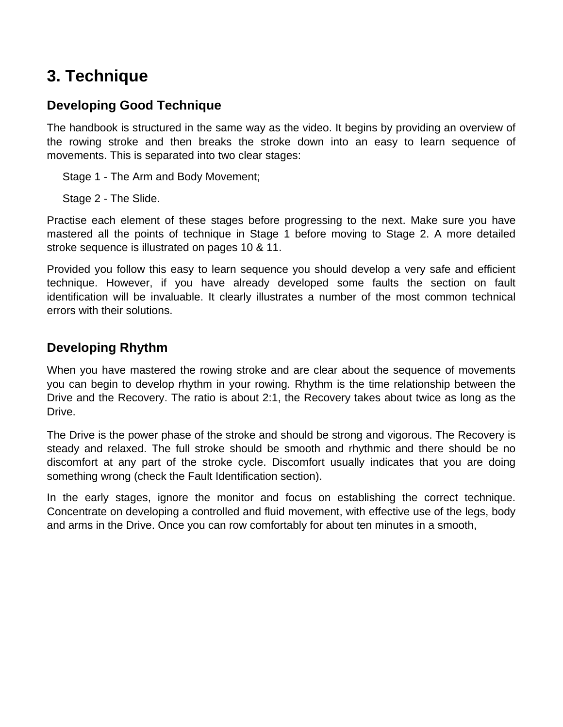# **3. Technique**

# **Developing Good Technique**

The handbook is structured in the same way as the video. It begins by providing an overview of the rowing stroke and then breaks the stroke down into an easy to learn sequence of movements. This is separated into two clear stages:

Stage 1 - The Arm and Body Movement;

Stage 2 - The Slide.

Practise each element of these stages before progressing to the next. Make sure you have mastered all the points of technique in Stage 1 before moving to Stage 2. A more detailed stroke sequence is illustrated on pages 10 & 11.

Provided you follow this easy to learn sequence you should develop a very safe and efficient technique. However, if you have already developed some faults the section on fault identification will be invaluable. It clearly illustrates a number of the most common technical errors with their solutions.

## **Developing Rhythm**

When you have mastered the rowing stroke and are clear about the sequence of movements you can begin to develop rhythm in your rowing. Rhythm is the time relationship between the Drive and the Recovery. The ratio is about 2:1, the Recovery takes about twice as long as the Drive.

The Drive is the power phase of the stroke and should be strong and vigorous. The Recovery is steady and relaxed. The full stroke should be smooth and rhythmic and there should be no discomfort at any part of the stroke cycle. Discomfort usually indicates that you are doing something wrong (check the Fault Identification section).

In the early stages, ignore the monitor and focus on establishing the correct technique. Concentrate on developing a controlled and fluid movement, with effective use of the legs, body and arms in the Drive. Once you can row comfortably for about ten minutes in a smooth,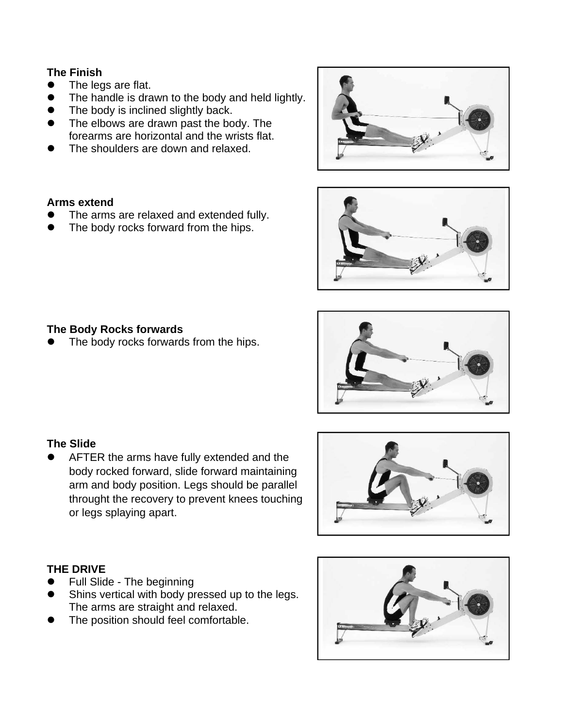#### **The Finish**

- The legs are flat.
- The handle is drawn to the body and held lightly.
- The body is inclined slightly back.
- The elbows are drawn past the body. The forearms are horizontal and the wrists flat.
- The shoulders are down and relaxed.

#### **Arms extend**

- The arms are relaxed and extended fully.
- The body rocks forward from the hips.



### **The Body Rocks forwards**

The body rocks forwards from the hips.



• AFTER the arms have fully extended and the body rocked forward, slide forward maintaining arm and body position. Legs should be parallel throught the recovery to prevent knees touching or legs splaying apart.



### **THE DRIVE**

- Full Slide The beginning
- Shins vertical with body pressed up to the legs. The arms are straight and relaxed.
- The position should feel comfortable.

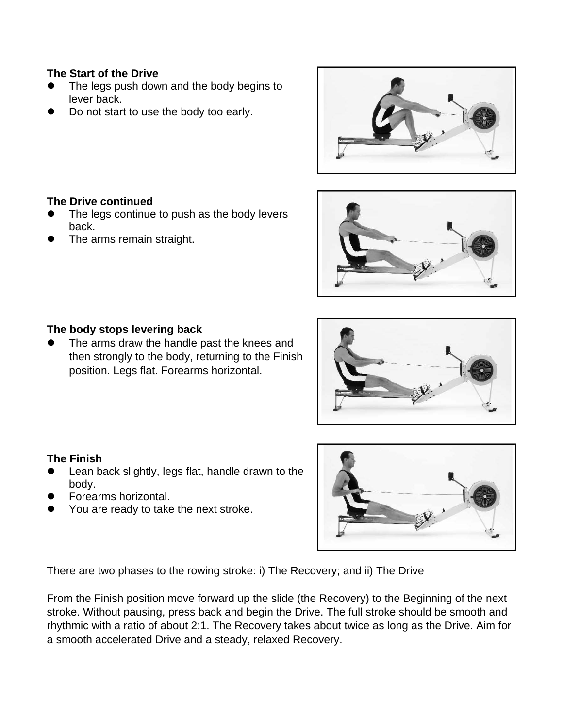#### **The Start of the Drive**

- The legs push down and the body begins to lever back.
- Do not start to use the body too early.





- The legs continue to push as the body levers back.
- The arms remain straight.



#### **The body stops levering back**

The arms draw the handle past the knees and then strongly to the body, returning to the Finish position. Legs flat. Forearms horizontal.

#### **The Finish**

- Lean back slightly, legs flat, handle drawn to the body.
- Forearms horizontal.
- You are ready to take the next stroke.



There are two phases to the rowing stroke: i) The Recovery; and ii) The Drive

From the Finish position move forward up the slide (the Recovery) to the Beginning of the next stroke. Without pausing, press back and begin the Drive. The full stroke should be smooth and rhythmic with a ratio of about 2:1. The Recovery takes about twice as long as the Drive. Aim for a smooth accelerated Drive and a steady, relaxed Recovery.

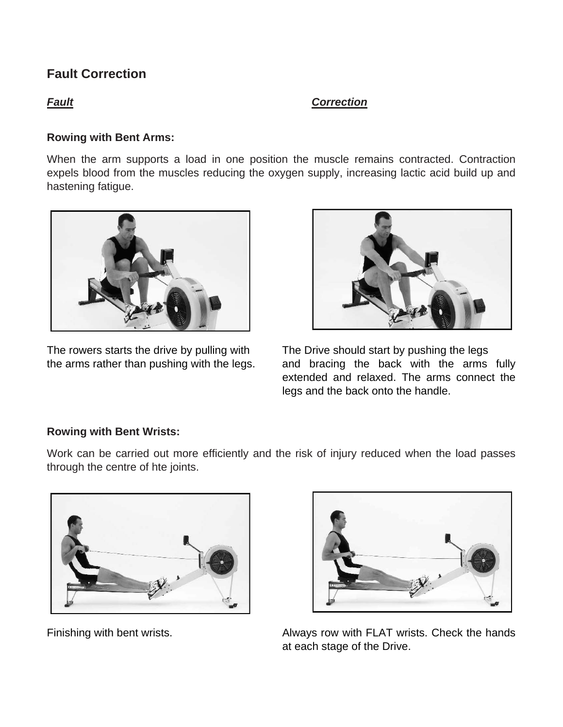### *Fault**Correction*

#### **Rowing with Bent Arms:**

When the arm supports a load in one position the muscle remains contracted. Contraction expels blood from the muscles reducing the oxygen supply, increasing lactic acid build up and hastening fatigue.



The rowers starts the drive by pulling with The Drive should start by pushing the legs



the arms rather than pushing with the legs. and bracing the back with the arms fully extended and relaxed. The arms connect the legs and the back onto the handle.

#### **Rowing with Bent Wrists:**

Work can be carried out more efficiently and the risk of injury reduced when the load passes through the centre of hte joints.





Finishing with bent wrists. Always row with FLAT wrists. Check the hands at each stage of the Drive.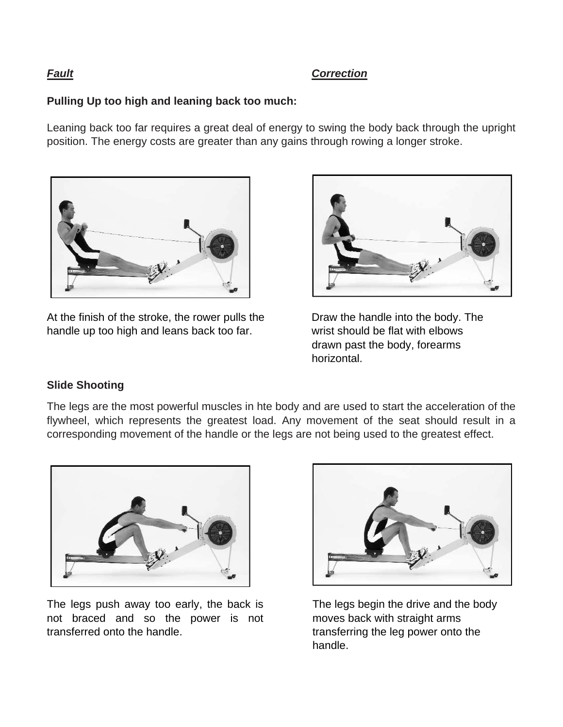#### **Pulling Up too high and leaning back too much:**

Leaning back too far requires a great deal of energy to swing the body back through the upright position. The energy costs are greater than any gains through rowing a longer stroke.



At the finish of the stroke, the rower pulls the Draw the handle into the body. The handle up too high and leans back too far. wrist should be flat with elbows



drawn past the body, forearms horizontal.

#### **Slide Shooting**

The legs are the most powerful muscles in hte body and are used to start the acceleration of the flywheel, which represents the greatest load. Any movement of the seat should result in a corresponding movement of the handle or the legs are not being used to the greatest effect.



The legs push away too early, the back is not braced and so the power is not transferred onto the handle.



 The legs begin the drive and the body moves back with straight arms transferring the leg power onto the handle.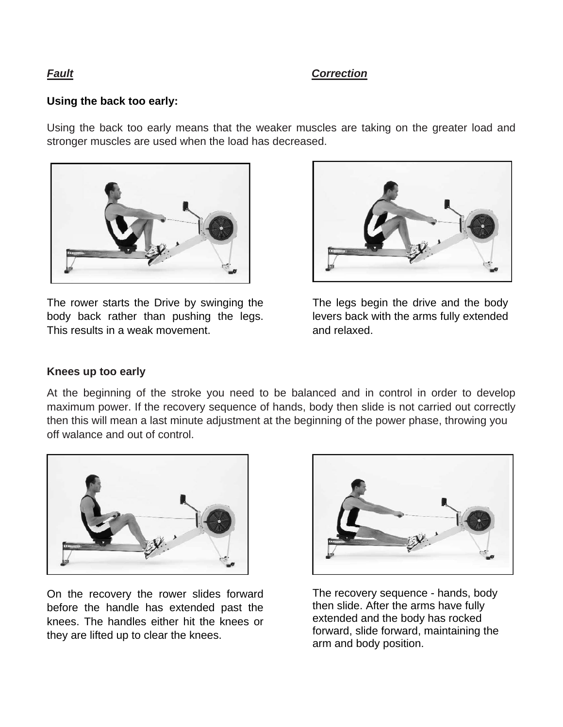# **Using the back too early:**

Using the back too early means that the weaker muscles are taking on the greater load and stronger muscles are used when the load has decreased.



The rower starts the Drive by swinging the body back rather than pushing the legs. This results in a weak movement.



 The legs begin the drive and the body levers back with the arms fully extended and relaxed.

#### **Knees up too early**

At the beginning of the stroke you need to be balanced and in control in order to develop maximum power. If the recovery sequence of hands, body then slide is not carried out correctly then this will mean a last minute adjustment at the beginning of the power phase, throwing you off walance and out of control.



On the recovery the rower slides forward before the handle has extended past the knees. The handles either hit the knees or they are lifted up to clear the knees.



The recovery sequence - hands, body then slide. After the arms have fully extended and the body has rocked forward, slide forward, maintaining the arm and body position.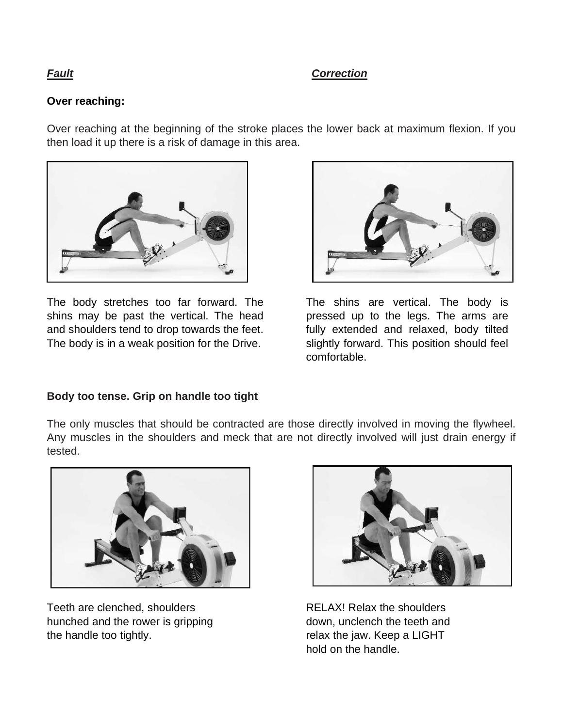#### **Over reaching:**

Over reaching at the beginning of the stroke places the lower back at maximum flexion. If you then load it up there is a risk of damage in this area.



The body stretches too far forward. The shins may be past the vertical. The head and shoulders tend to drop towards the feet. The body is in a weak position for the Drive.



The shins are vertical. The body is pressed up to the legs. The arms are fully extended and relaxed, body tilted slightly forward. This position should feel comfortable.

#### **Body too tense. Grip on handle too tight**

The only muscles that should be contracted are those directly involved in moving the flywheel. Any muscles in the shoulders and meck that are not directly involved will just drain energy if tested.



Teeth are clenched, shoulders hunched and the rower is gripping the handle too tightly.



 RELAX! Relax the shoulders down, unclench the teeth and relax the jaw. Keep a LIGHT hold on the handle.